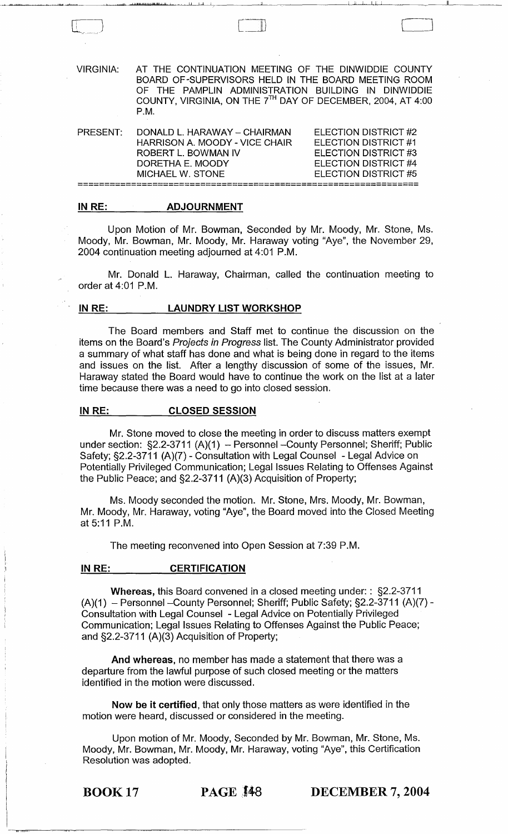| VIRGINIA: | AT THE CONTINUATION MEETING OF THE DINWIDDIE COUNTY<br>BOARD OF-SUPERVISORS HELD IN THE BOARD MEETING ROOM<br>OF THE PAMPLIN ADMINISTRATION BUILDING IN DINWIDDIE<br>COUNTY, VIRGINIA, ON THE 7TH DAY OF DECEMBER, 2004, AT 4:00<br>P.M. |                                                                                                                      |
|-----------|------------------------------------------------------------------------------------------------------------------------------------------------------------------------------------------------------------------------------------------|----------------------------------------------------------------------------------------------------------------------|
| PRESENT:  | DONALD L. HARAWAY - CHAIRMAN<br>HARRISON A. MOODY - VICE CHAIR<br>ROBERT L. BOWMAN IV<br>DORETHA E. MOODY<br>MICHAEL W. STONE                                                                                                            | ELECTION DISTRICT #2<br>ELECTION DISTRICT #1<br>ELECTION DISTRICT #3<br>ELECTION DISTRICT #4<br>ELECTION DISTRICT #5 |

\_~~.u"'~ ...u!·, ..... "'~III.Il1·!I'!Lw.u!l.w. ...... IAI ...... ·· '1-J...! ~--IJ!J 1~ \_\_\_ ~ \_\_ ~ \_\_ ~---lI~llL.i .L..-L1..LJi j~I \_\_\_ \_

 $\begin{array}{|c|c|c|c|c|}\hline \quad \quad & \quad \quad & \quad \quad & \quad \quad \\ \hline \quad \quad & \quad \quad & \quad \quad & \quad \quad \\ \hline \end{array}$ 

#### IN RE: ADJOURNMENT

Upon Motion of Mr. Bowman, Seconded by Mr. Moody, Mr. Stone, Ms. Moody, Mr. Bowman, Mr. Moody, Mr. Haraway voting "Aye", the November 29, 2004 continuation meeting adjourned at 4:01 P.M.

Mr. Donald L. Haraway, Chairman, called the continuation meeting to order at 4:01 P.M.

### IN RE: LAUNDRY LIST WORKSHOP

The Board members and Staff met to continue the discussion on the items on the Board's Projects in Progress list. The County Administrator provided a summary of what staff has done and what is being done in regard to the items and issues on the list. After a lengthy discussion of some of the issues, Mr. Haraway stated the Board would have to continue the work on the list at a later time because there was a need to go into closed session.

## IN RE: CLOSED SESSION

Mr. Stone moved to close the meeting in order to discuss matters exempt under section: §2.2-3711 (A)(1) - Personnel - County Personnel; Sheriff; Public Safety; §2.2-3711 (A)(7) - Consultation with Legal Counsel - Legal Advice on Potentially Privileged Communication; Legal Issues Relating to Offenses Against the Public Peace; and §2.2-3711 (A)(3) Acquisition of Property;

Ms. Moody seconded the motion. Mr. Stone, Mrs. Moody, Mr. Bowman, Mr. Moody, Mr. Haraway, voting "Aye", the Board moved into the Closed Meeting at 5:11 P.M.

The meeting reconvened into Open Session at 7:39 P.M.

## IN RE: CERTIFICATION

Whereas, this Board convened in a closed meeting under: : §2.2-3711  $(A)(1)$  - Personnel - County Personnel; Sheriff; Public Safety; §2.2-3711 (A)(7) -Consultation with Legal Counsel - Legal Advice on Potentially Privileged Communication; Legal Issues Relating to Offenses Against the Public Peace; and §2.2-3711 (A)(3) Acquisition of Property;

And whereas, no member has made a statement that there was a departure from the lawful purpose of such closed meeting or the matters identified in the motion were discussed.

Now be it certified, that only those matters as were identified in the motion were heard, discussed or considered in the meeting.

Upon motion of Mr. Moody, Seconded by Mr. Bowman, Mr. Stone, Ms. Moody, Mr. Bowman, Mr. Moody, Mr. Haraway, voting "Aye", this Certification Resolution was adopted.

BOOK 17 PAGE 448 DECEMBER 7, 2004